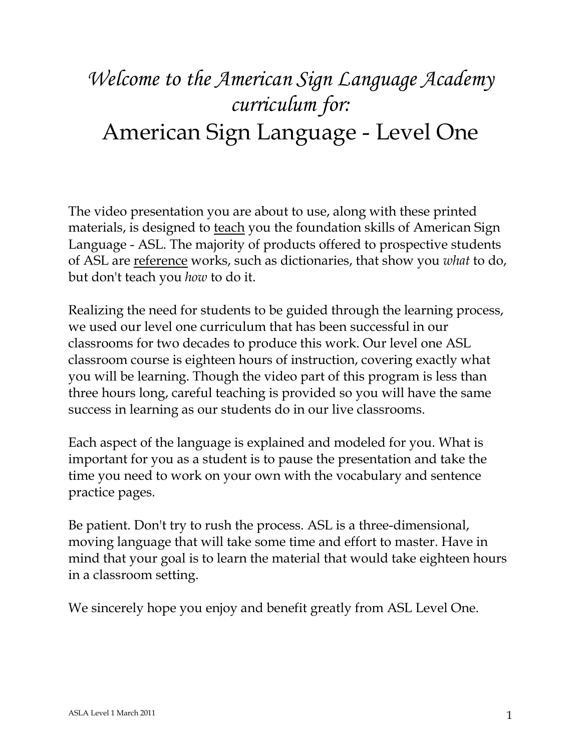# *Welcome to the American Sign Language Academy curriculum for:* American Sign Language - Level One

The video presentation you are about to use, along with these printed materials, is designed to <u>teach</u> you the foundation skills of American Sign Language - ASL. The majority of products offered to prospective students of ASL are reference works, such as dictionaries, that show you *what* to do, but don't teach you *how* to do it.

Realizing the need for students to be guided through the learning process, we used our level one curriculum that has been successful in our classrooms for two decades to produce this work. Our level one ASL classroom course is eighteen hours of instruction, covering exactly what you will be learning. Though the video part of this program is less than three hours long, careful teaching is provided so you will have the same success in learning as our students do in our live classrooms.

Each aspect of the language is explained and modeled for you. What is important for you as a student is to pause the presentation and take the time you need to work on your own with the vocabulary and sentence practice pages.

Be patient. Don't try to rush the process. ASL is a three-dimensional, moving language that will take some time and effort to master. Have in mind that your goal is to learn the material that would take eighteen hours in a classroom setting.

We sincerely hope you enjoy and benefit greatly from ASL Level One.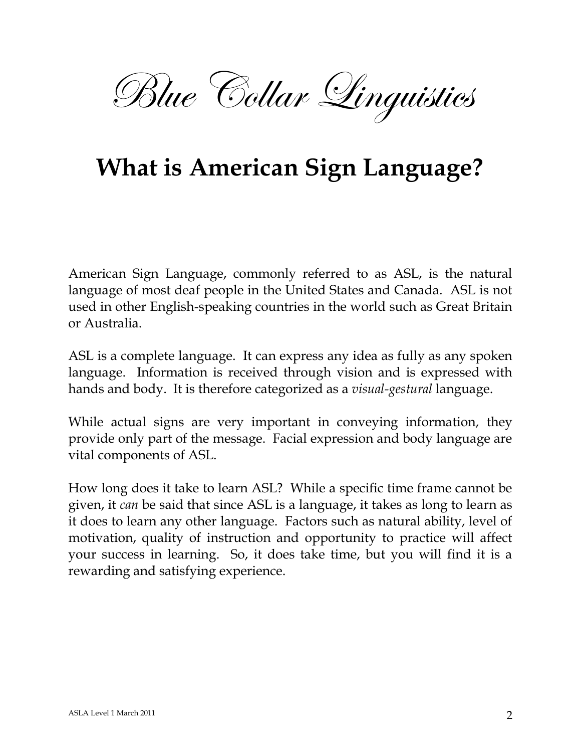

# **What is American Sign Language?**

American Sign Language, commonly referred to as ASL, is the natural language of most deaf people in the United States and Canada. ASL is not used in other English-speaking countries in the world such as Great Britain or Australia.

ASL is a complete language. It can express any idea as fully as any spoken language. Information is received through vision and is expressed with hands and body. It is therefore categorized as a *visual-gestural* language.

While actual signs are very important in conveying information, they provide only part of the message. Facial expression and body language are vital components of ASL.

How long does it take to learn ASL? While a specific time frame cannot be given, it *can* be said that since ASL is a language, it takes as long to learn as it does to learn any other language. Factors such as natural ability, level of motivation, quality of instruction and opportunity to practice will affect your success in learning. So, it does take time, but you will find it is a rewarding and satisfying experience.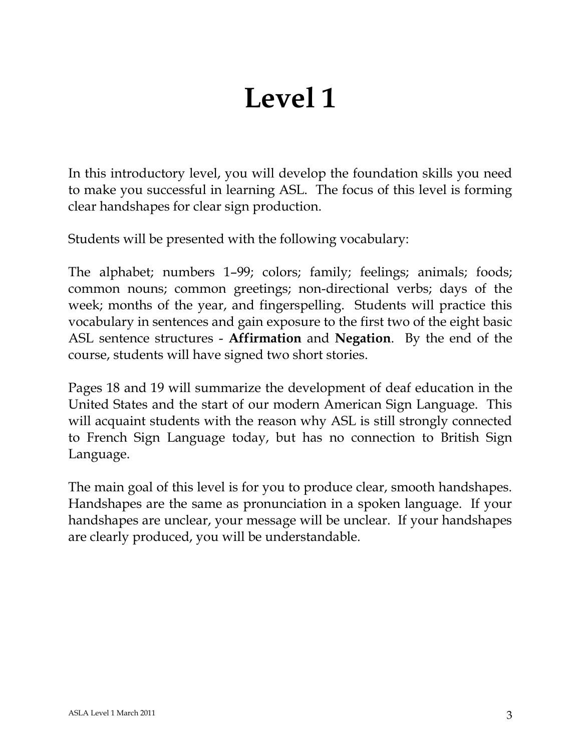# **Level 1**

In this introductory level, you will develop the foundation skills you need to make you successful in learning ASL. The focus of this level is forming clear handshapes for clear sign production.

Students will be presented with the following vocabulary:

The alphabet; numbers 1–99; colors; family; feelings; animals; foods; common nouns; common greetings; non-directional verbs; days of the week; months of the year, and fingerspelling. Students will practice this vocabulary in sentences and gain exposure to the first two of the eight basic ASL sentence structures - **Affirmation** and **Negation**. By the end of the course, students will have signed two short stories.

Pages 18 and 19 will summarize the development of deaf education in the United States and the start of our modern American Sign Language. This will acquaint students with the reason why ASL is still strongly connected to French Sign Language today, but has no connection to British Sign Language.

The main goal of this level is for you to produce clear, smooth handshapes. Handshapes are the same as pronunciation in a spoken language. If your handshapes are unclear, your message will be unclear. If your handshapes are clearly produced, you will be understandable.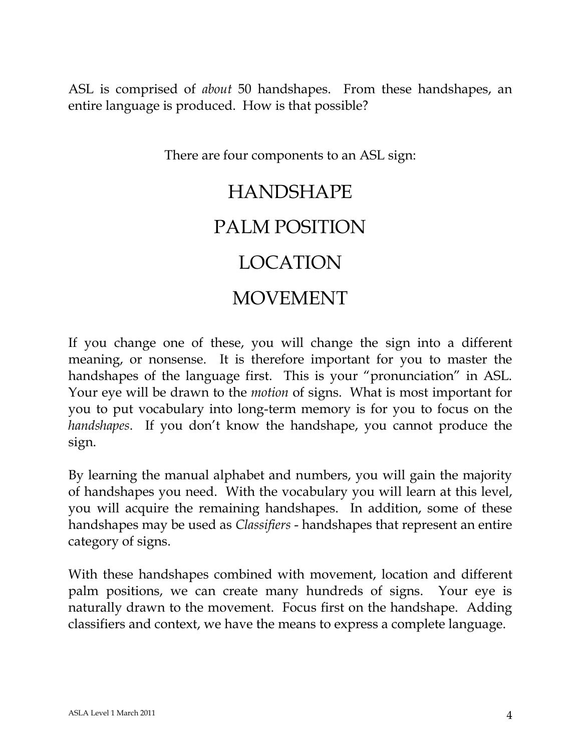ASL is comprised of *about* 50 handshapes. From these handshapes, an entire language is produced. How is that possible?

There are four components to an ASL sign:

# HANDSHAPE PALM POSITION LOCATION

## MOVEMENT

If you change one of these, you will change the sign into a different meaning, or nonsense. It is therefore important for you to master the handshapes of the language first. This is your "pronunciation" in ASL. Your eye will be drawn to the *motion* of signs. What is most important for you to put vocabulary into long-term memory is for you to focus on the *handshapes*. If you don't know the handshape, you cannot produce the sign.

By learning the manual alphabet and numbers, you will gain the majority of handshapes you need. With the vocabulary you will learn at this level, you will acquire the remaining handshapes. In addition, some of these handshapes may be used as *Classifiers* - handshapes that represent an entire category of signs.

With these handshapes combined with movement, location and different palm positions, we can create many hundreds of signs. Your eye is naturally drawn to the movement. Focus first on the handshape. Adding classifiers and context, we have the means to express a complete language.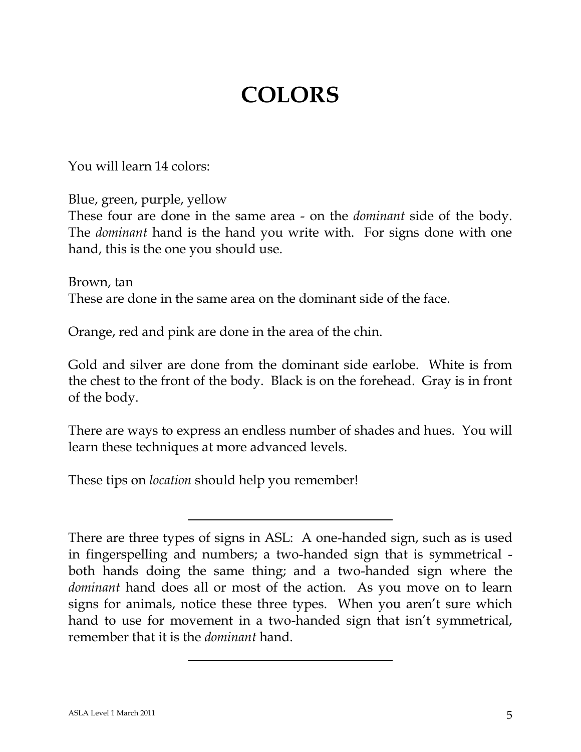# **COLORS**

You will learn 14 colors:

Blue, green, purple, yellow

These four are done in the same area - on the *dominant* side of the body. The *dominant* hand is the hand you write with. For signs done with one hand, this is the one you should use.

Brown, tan These are done in the same area on the dominant side of the face.

Orange, red and pink are done in the area of the chin.

Gold and silver are done from the dominant side earlobe. White is from the chest to the front of the body. Black is on the forehead. Gray is in front of the body.

There are ways to express an endless number of shades and hues. You will learn these techniques at more advanced levels.

These tips on *location* should help you remember!

There are three types of signs in ASL: A one-handed sign, such as is used in fingerspelling and numbers; a two-handed sign that is symmetrical both hands doing the same thing; and a two-handed sign where the *dominant* hand does all or most of the action. As you move on to learn signs for animals, notice these three types. When you aren't sure which hand to use for movement in a two-handed sign that isn't symmetrical, remember that it is the *dominant* hand.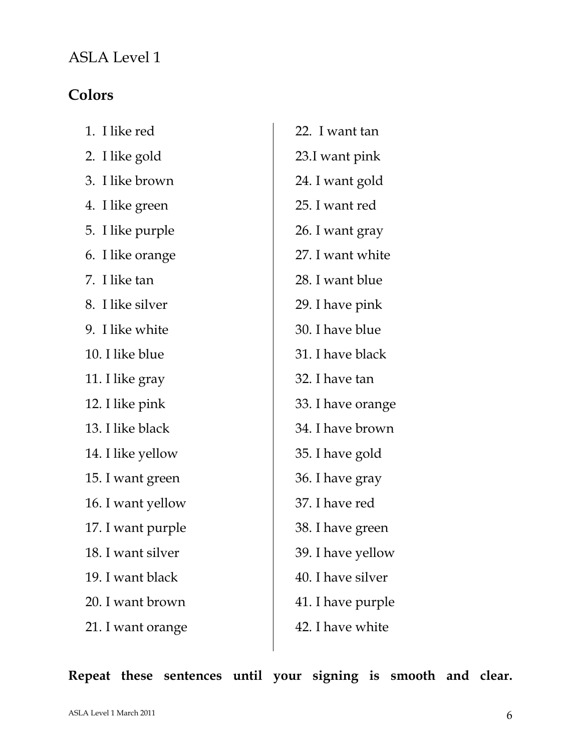### ASLA Level 1

### **Colors**

| 1. I like red     | 22. I want tan    |
|-------------------|-------------------|
| 2. I like gold    | 23.I want pink    |
| 3. I like brown   | 24. I want gold   |
| 4. I like green   | 25. I want red    |
| 5. I like purple  | 26. I want gray   |
| 6. I like orange  | 27. I want white  |
| 7. I like tan     | 28. I want blue   |
| 8. I like silver  | 29. I have pink   |
| 9. I like white   | 30. I have blue   |
| 10. I like blue   | 31. I have black  |
| 11. I like gray   | 32. I have tan    |
| 12. I like pink   | 33. I have orange |
| 13. I like black  | 34. I have brown  |
| 14. I like yellow | 35. I have gold   |
| 15. I want green  | 36. I have gray   |
| 16. I want yellow | 37. I have red    |
| 17. I want purple | 38. I have green  |
| 18. I want silver | 39. I have yellow |
| 19. I want black  | 40. I have silver |
| 20. I want brown  | 41. I have purple |
| 21. I want orange | 42. I have white  |
|                   |                   |

**Repeat these sentences until your signing is smooth and clear.**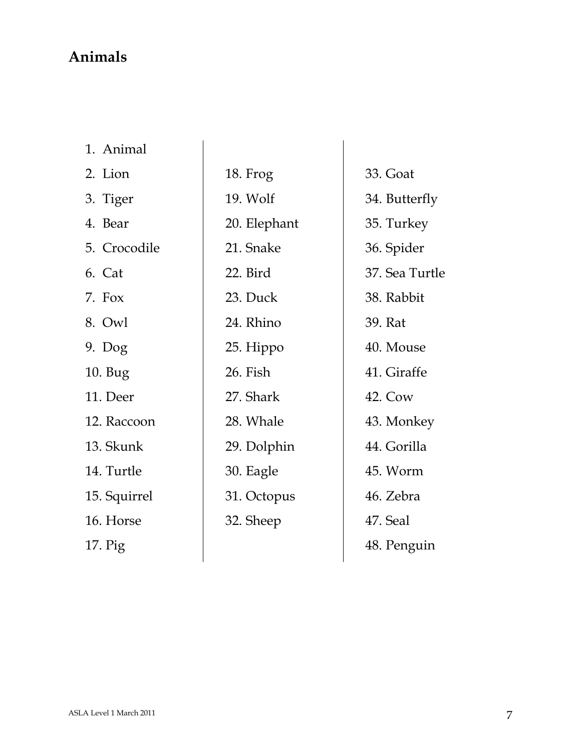#### **Animals**

| Animal |
|--------|
|        |

2. Lion

- 3. Tiger
- 4. Bear

5. Crocodile

- 6. Cat 7. Fox
- 8. Owl
- 9. Dog
- 10. Bug

11. Deer

- 12. Raccoon
- 13. Skunk

14. Turtle

15. Squirrel

16. Horse

17. Pig

18. Frog 19. Wolf 20. Elephant 21. Snake 22. Bird 23. Duck 24. Rhino 25. Hippo 26. Fish 27. Shark 28. Whale 29. Dolphin 30. Eagle 31. Octopus 32. Sheep

33. Goat 34. Butterfly 35. Turkey 36. Spider 37. Sea Turtle 38. Rabbit 39. Rat 40. Mouse 41. Giraffe 42. Cow 43. Monkey 44. Gorilla 45. Worm 46. Zebra 47. Seal 48. Penguin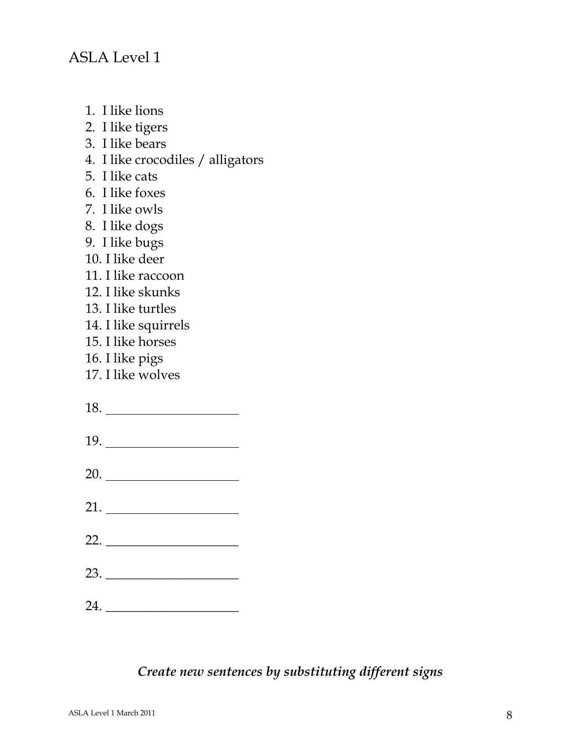- 1. I like lions
- 2. I like tigers
- 3. I like bears
- 4. I like crocodiles / alligators
- 5. I like cats
- 6. I like foxes
- 7. I like owls
- 8. I like dogs
- 9. I like bugs
- 10. I like deer
- 11. I like raccoon
- 12. I like skunks
- 13. I like turtles
- 14. I like squirrels
- 15. I like horses
- 16. I like pigs
- 17. I like wolves
- 18.
- 19.
- 20.
- 21.
- 22. \_\_\_\_\_\_\_\_\_\_\_\_\_\_\_\_\_\_\_\_
- 23.
- 24.

#### *Create new sentences by substituting different signs*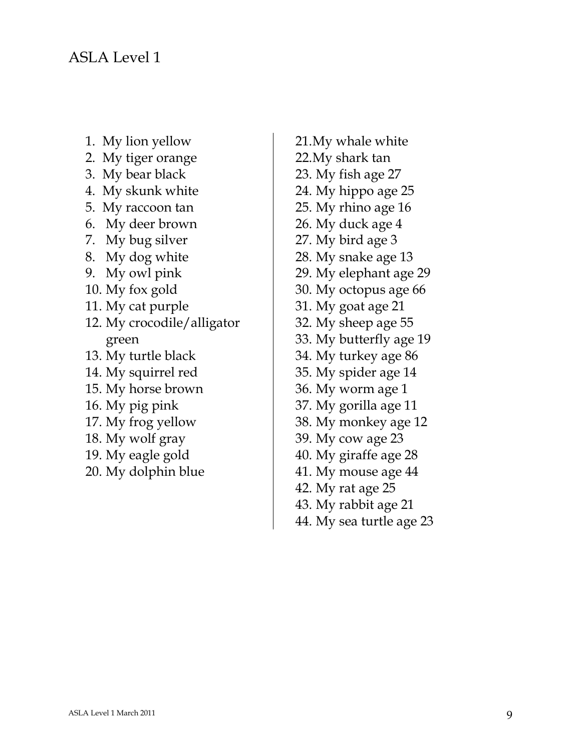- 1. My lion yellow
- 2. My tiger orange
- 3. My bear black
- 4. My skunk white
- 5. My raccoon tan
- 6. My deer brown
- 7. My bug silver
- 8. My dog white
- 9. My owl pink
- 10. My fox gold
- 11. My cat purple
- 12. My crocodile/alligator green
- 13. My turtle black
- 14. My squirrel red
- 15. My horse brown
- 16. My pig pink
- 17. My frog yellow
- 18. My wolf gray
- 19. My eagle gold
- 20. My dolphin blue
- 21.My whale white 22.My shark tan 23. My fish age 27 24. My hippo age 25 25. My rhino age 16 26. My duck age 4 27. My bird age 3 28. My snake age 13 29. My elephant age 29 30. My octopus age 66 31. My goat age 21 32. My sheep age 55 33. My butterfly age 19 34. My turkey age 86 35. My spider age 14 36. My worm age 1 37. My gorilla age 11 38. My monkey age 12 39. My cow age 23 40. My giraffe age 28 41. My mouse age 44 42. My rat age 25
- 43. My rabbit age 21
- 44. My sea turtle age 23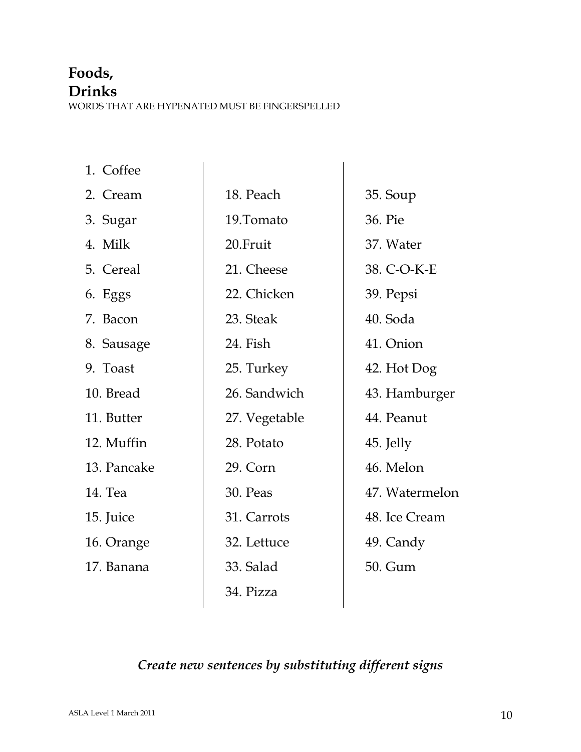# **Foods,**

#### **Drinks**

WORDS THAT ARE HYPENATED MUST BE FINGERSPELLED

| 18. Peach     | 35. Soup       |
|---------------|----------------|
| 19.Tomato     | 36. Pie        |
| 20.Fruit      | 37. Water      |
| 21. Cheese    | 38. C-O-K-E    |
| 22. Chicken   | 39. Pepsi      |
| 23. Steak     | 40. Soda       |
| 24. Fish      | 41. Onion      |
| 25. Turkey    | 42. Hot Dog    |
| 26. Sandwich  | 43. Hamburger  |
| 27. Vegetable | 44. Peanut     |
| 28. Potato    | 45. Jelly      |
| 29. Corn      | 46. Melon      |
| 30. Peas      | 47. Watermelon |
| 31. Carrots   | 48. Ice Cream  |
| 32. Lettuce   | 49. Candy      |
| 33. Salad     | 50. Gum        |
| 34. Pizza     |                |
|               |                |

### *Create new sentences by substituting different signs*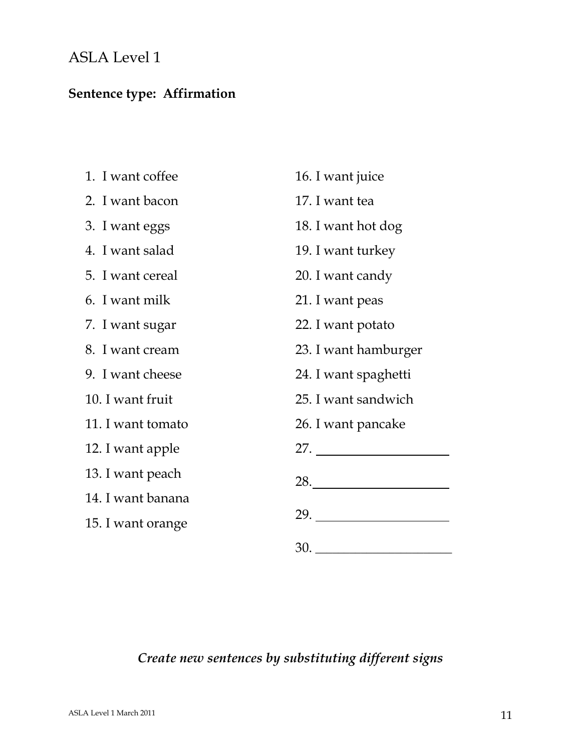### ASLA Level 1

### **Sentence type: Affirmation**

| 1. I want coffee  | 16. I want juice     |  |
|-------------------|----------------------|--|
| 2. I want bacon   | 17. I want tea       |  |
| 3. I want eggs    | 18. I want hot dog   |  |
| 4. I want salad   | 19. I want turkey    |  |
| 5. I want cereal  | 20. I want candy     |  |
| 6. I want milk    | 21. I want peas      |  |
| 7. I want sugar   | 22. I want potato    |  |
| 8. I want cream   | 23. I want hamburger |  |
| 9. I want cheese  | 24. I want spaghetti |  |
| 10. I want fruit  | 25. I want sandwich  |  |
| 11. I want tomato | 26. I want pancake   |  |
| 12. I want apple  | 27.                  |  |
| 13. I want peach  | 28.                  |  |
| 14. I want banana |                      |  |
| 15. I want orange |                      |  |
|                   |                      |  |

### *Create new sentences by substituting different signs*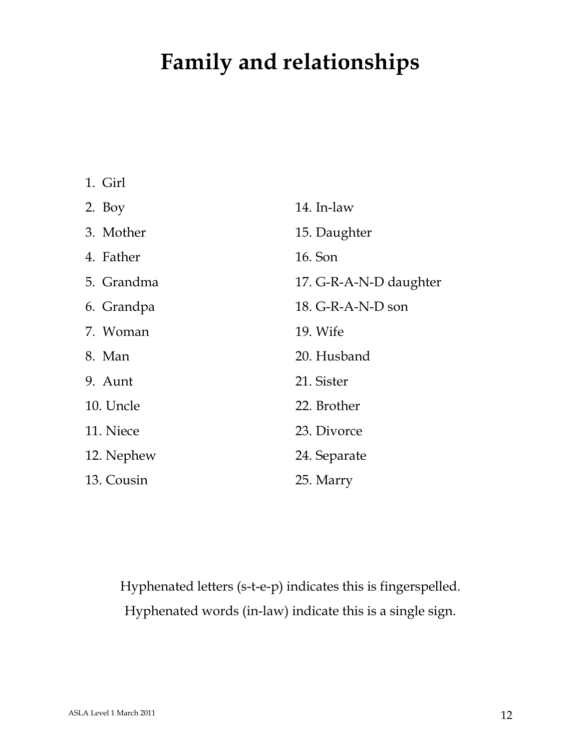# **Family and relationships**

| 1. Girl    |                        |
|------------|------------------------|
| 2. Boy     | 14. In-law             |
| 3. Mother  | 15. Daughter           |
| 4. Father  | 16. Son                |
| 5. Grandma | 17. G-R-A-N-D daughter |
| 6. Grandpa | 18. G-R-A-N-D son      |
| 7. Woman   | 19. Wife               |
| 8. Man     | 20. Husband            |
| 9. Aunt    | 21. Sister             |
| 10. Uncle  | 22. Brother            |
| 11. Niece  | 23. Divorce            |
| 12. Nephew | 24. Separate           |
| 13. Cousin | 25. Marry              |

Hyphenated letters (s-t-e-p) indicates this is fingerspelled. Hyphenated words (in-law) indicate this is a single sign.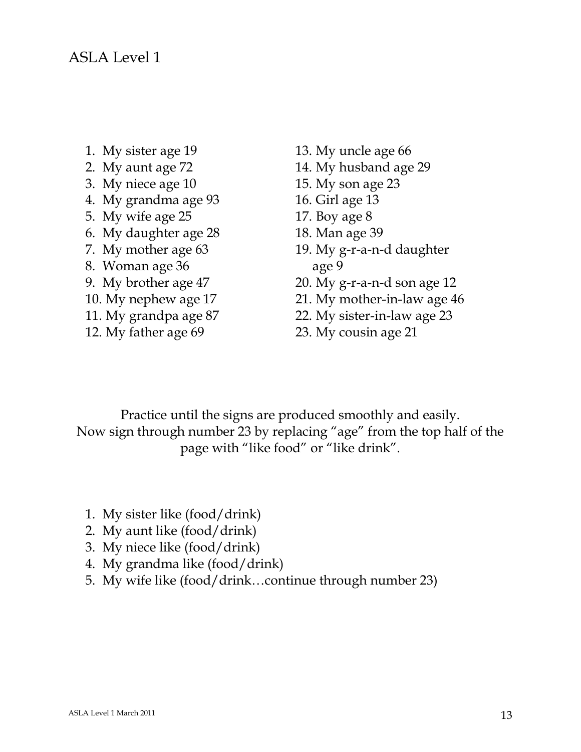- 1. My sister age 19
- 2. My aunt age 72
- 3. My niece age 10
- 4. My grandma age 93
- 5. My wife age 25
- 6. My daughter age 28
- 7. My mother age 63
- 8. Woman age 36
- 9. My brother age 47
- 10. My nephew age 17
- 11. My grandpa age 87
- 12. My father age 69
- 13. My uncle age 66
- 14. My husband age 29
- 15. My son age 23
- 16. Girl age 13
- 17. Boy age 8
- 18. Man age 39
- 19. My g-r-a-n-d daughter age 9
- 20. My g-r-a-n-d son age 12
- 21. My mother-in-law age 46
- 22. My sister-in-law age 23
- 23. My cousin age 21

Practice until the signs are produced smoothly and easily. Now sign through number 23 by replacing "age" from the top half of the page with "like food" or "like drink".

- 1. My sister like (food/drink)
- 2. My aunt like (food/drink)
- 3. My niece like (food/drink)
- 4. My grandma like (food/drink)
- 5. My wife like (food/drink…continue through number 23)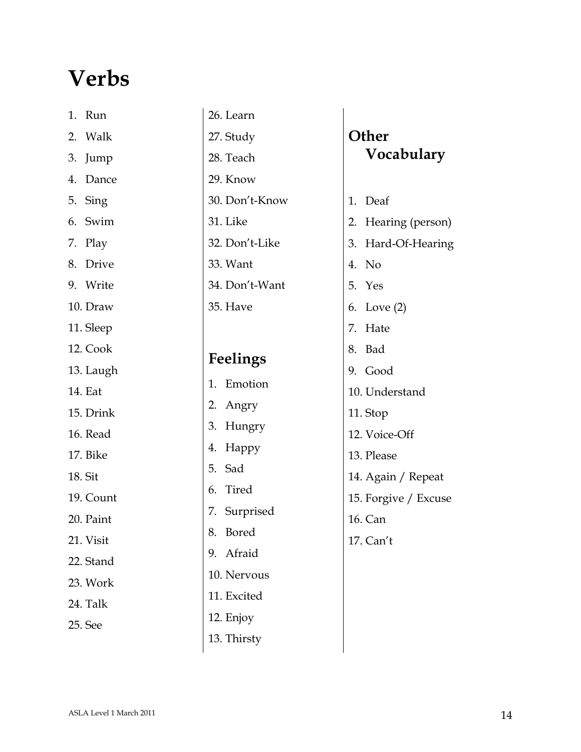# **Verbs**

| 1.      | Run       |
|---------|-----------|
| 2.      | Walk      |
|         | 3. Jump   |
|         | 4. Dance  |
|         | 5. Sing   |
|         | 6. Swim   |
|         | 7. Play   |
|         | 8. Drive  |
|         | 9. Write  |
|         | 10. Draw  |
|         | 11. Sleep |
|         | 12. Cook  |
|         | 13. Laugh |
|         | 14. Eat   |
|         | 15. Drink |
|         | 16. Read  |
|         | 17. Bike  |
| 18. Sit |           |
|         | 19. Count |
|         | 20. Paint |
|         | 21. Visit |
|         | 22. Stand |
|         | 23. Work  |
|         | 24. Talk  |
|         | 25. See   |
|         |           |

#### 26. Learn 27. Study

28. Teach 29. Know

30. Don't-Know

31. Like

32. Don't-Like

33. Want

34. Don't-Want

35. Have

#### **Feelings**

1. Emotion

- 2. Angry
- 3. Hungry
- 4. Happy
- 5. Sad
- 6. Tired
- 7. Surprised
- 8. Bored
- 9. Afraid
- 10. Nervous
- 11. Excited
- 12. Enjoy
- 13. Thirsty

## **Other Vocabulary**

- 1. Deaf
- 2. Hearing (person)
- 3. Hard-Of-Hearing
- 4. No
- 5. Yes
- 6. Love (2)
- 7. Hate
- 8. Bad
- 9. Good
- 10. Understand
- 11. Stop
- 12. Voice-Off
- 13. Please
- 14. Again / Repeat
- 15. Forgive / Excuse
- 16. Can
- 17. Can't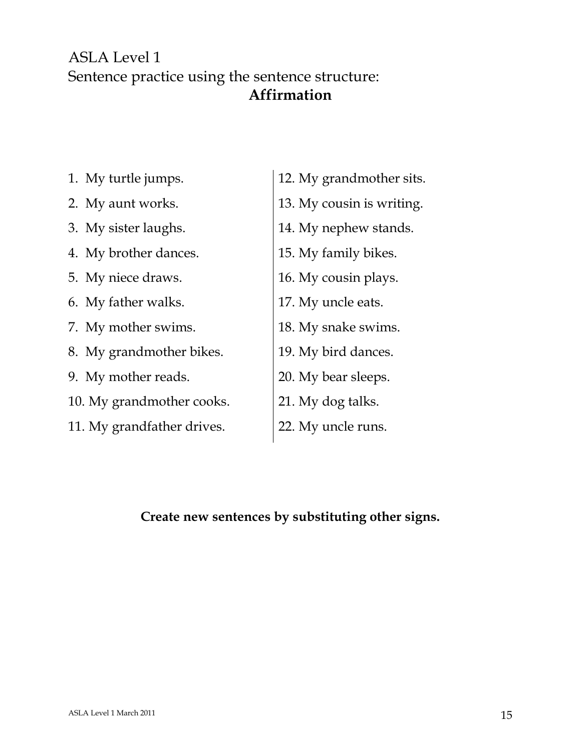#### ASLA Level 1 Sentence practice using the sentence structure: **Affirmation**

- 1. My turtle jumps.
- 2. My aunt works.
- 3. My sister laughs.
- 4. My brother dances.
- 5. My niece draws.
- 6. My father walks.
- 7. My mother swims.
- 8. My grandmother bikes.
- 9. My mother reads.
- 10. My grandmother cooks.
- 11. My grandfather drives.
- 12. My grandmother sits.
- 13. My cousin is writing.
- 14. My nephew stands.
- 15. My family bikes.
- 16. My cousin plays.
- 17. My uncle eats.
- 18. My snake swims.
- 19. My bird dances.
- 20. My bear sleeps.
- 21. My dog talks.
- 22. My uncle runs.

#### **Create new sentences by substituting other signs.**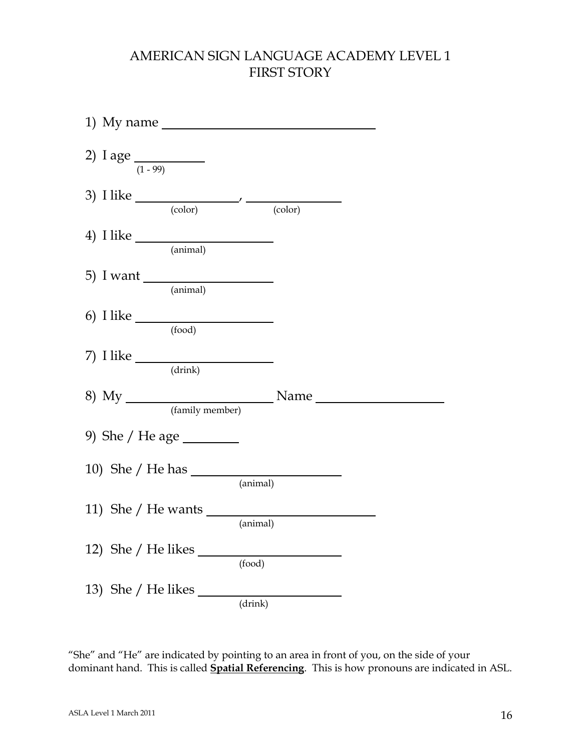#### AMERICAN SIGN LANGUAGE ACADEMY LEVEL 1 FIRST STORY

|  | 1) My name                                   |                   |  |
|--|----------------------------------------------|-------------------|--|
|  | 2) I age $\frac{1}{(1-99)}$                  |                   |  |
|  | 3) I like $\frac{1}{\text{(color)}}$ (color) |                   |  |
|  | 4) I like $\frac{1}{\text{(\text{animal})}}$ |                   |  |
|  | 5) I want $\frac{1}{\text{(animal)}}$        |                   |  |
|  | 6) I like $\frac{1}{\text{ (food)}}$         |                   |  |
|  | (drink)                                      |                   |  |
|  |                                              |                   |  |
|  |                                              |                   |  |
|  |                                              | $(\text{animal})$ |  |
|  |                                              | (animal)          |  |
|  | 12) She / He likes                           | (food)            |  |
|  | 13) She / He likes $\_$                      | (drink)           |  |

"She" and "He" are indicated by pointing to an area in front of you, on the side of your dominant hand. This is called **Spatial Referencing**. This is how pronouns are indicated in ASL.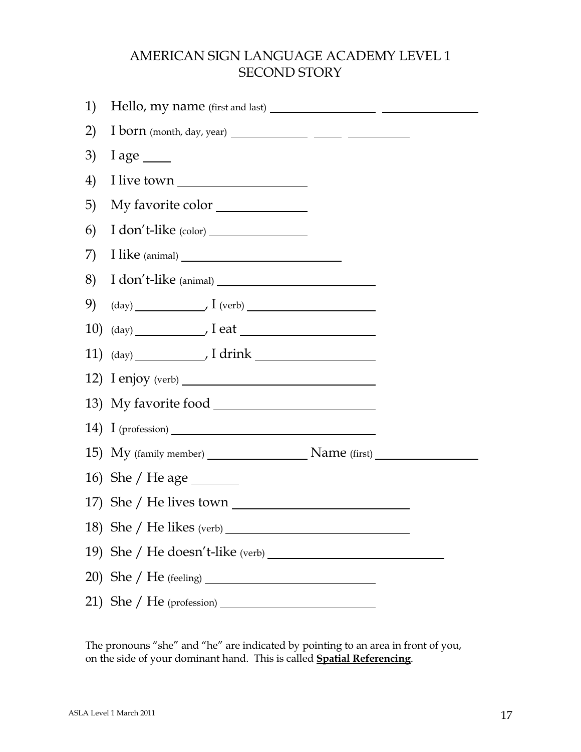#### AMERICAN SIGN LANGUAGE ACADEMY LEVEL 1 SECOND STORY

| 1) |                                                            |
|----|------------------------------------------------------------|
| 2) |                                                            |
| 3) | $I age \_\_$                                               |
| 4) |                                                            |
| 5) | My favorite color                                          |
| 6) |                                                            |
| 7) |                                                            |
| 8) | I don't-like (animal)                                      |
| 9) | $(\text{day})$ $\overline{\phantom{a}}$ $I \text{ (verb)}$ |
|    | $10)$ (day) $\overline{\phantom{21}}$ leat                 |
|    |                                                            |
|    |                                                            |
|    |                                                            |
|    |                                                            |
|    | 15) My (family member) Name (first) Name (first)           |
|    | 16) She / He age _________                                 |
|    |                                                            |
|    |                                                            |
|    |                                                            |
|    |                                                            |
|    |                                                            |

The pronouns "she" and "he" are indicated by pointing to an area in front of you, on the side of your dominant hand. This is called **Spatial Referencing**.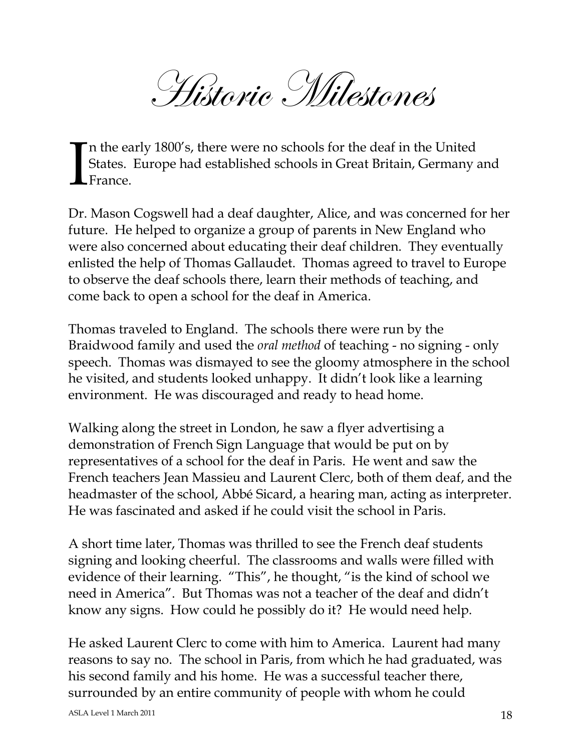Historic Milestones

n the early 1800's, there were no schools for the deaf in the United States. Europe had established schools in Great Britain, Germany and France. I

Dr. Mason Cogswell had a deaf daughter, Alice, and was concerned for her future. He helped to organize a group of parents in New England who were also concerned about educating their deaf children. They eventually enlisted the help of Thomas Gallaudet. Thomas agreed to travel to Europe to observe the deaf schools there, learn their methods of teaching, and come back to open a school for the deaf in America.

Thomas traveled to England. The schools there were run by the Braidwood family and used the *oral method* of teaching - no signing - only speech. Thomas was dismayed to see the gloomy atmosphere in the school he visited, and students looked unhappy. It didn't look like a learning environment. He was discouraged and ready to head home.

Walking along the street in London, he saw a flyer advertising a demonstration of French Sign Language that would be put on by representatives of a school for the deaf in Paris. He went and saw the French teachers Jean Massieu and Laurent Clerc, both of them deaf, and the headmaster of the school, Abbé Sicard, a hearing man, acting as interpreter. He was fascinated and asked if he could visit the school in Paris.

A short time later, Thomas was thrilled to see the French deaf students signing and looking cheerful. The classrooms and walls were filled with evidence of their learning. "This", he thought, "is the kind of school we need in America". But Thomas was not a teacher of the deaf and didn't know any signs. How could he possibly do it? He would need help.

He asked Laurent Clerc to come with him to America. Laurent had many reasons to say no. The school in Paris, from which he had graduated, was his second family and his home. He was a successful teacher there, surrounded by an entire community of people with whom he could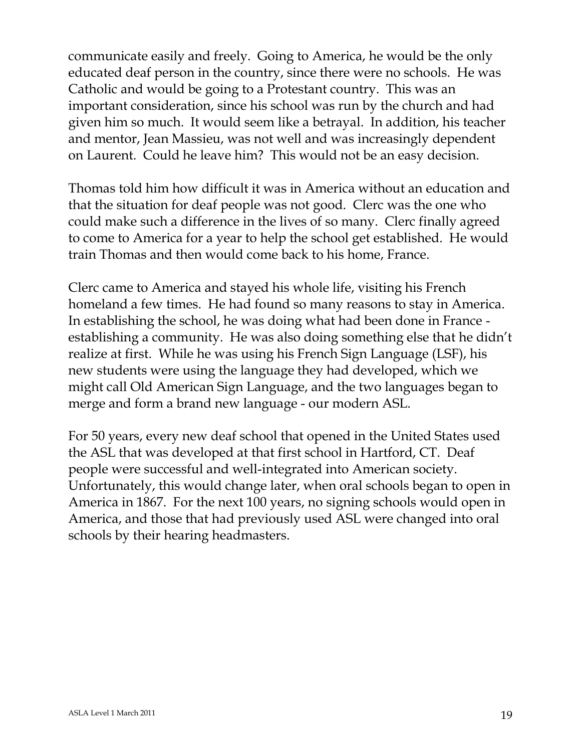communicate easily and freely. Going to America, he would be the only educated deaf person in the country, since there were no schools. He was Catholic and would be going to a Protestant country. This was an important consideration, since his school was run by the church and had given him so much. It would seem like a betrayal. In addition, his teacher and mentor, Jean Massieu, was not well and was increasingly dependent on Laurent. Could he leave him? This would not be an easy decision.

Thomas told him how difficult it was in America without an education and that the situation for deaf people was not good. Clerc was the one who could make such a difference in the lives of so many. Clerc finally agreed to come to America for a year to help the school get established. He would train Thomas and then would come back to his home, France.

Clerc came to America and stayed his whole life, visiting his French homeland a few times. He had found so many reasons to stay in America. In establishing the school, he was doing what had been done in France establishing a community. He was also doing something else that he didn't realize at first. While he was using his French Sign Language (LSF), his new students were using the language they had developed, which we might call Old American Sign Language, and the two languages began to merge and form a brand new language - our modern ASL.

For 50 years, every new deaf school that opened in the United States used the ASL that was developed at that first school in Hartford, CT. Deaf people were successful and well-integrated into American society. Unfortunately, this would change later, when oral schools began to open in America in 1867. For the next 100 years, no signing schools would open in America, and those that had previously used ASL were changed into oral schools by their hearing headmasters.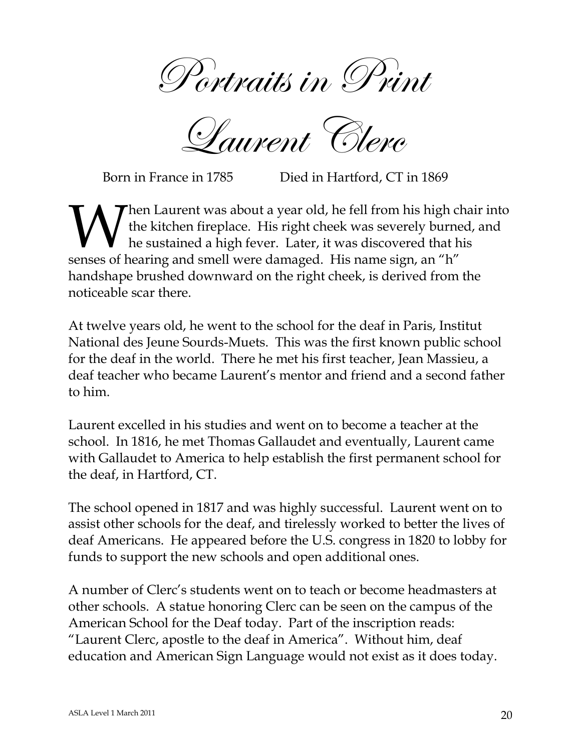Portraits in Print

Laurent Clerc

Born in France in 1785 Died in Hartford, CT in 1869

hen Laurent was about a year old, he fell from his high chair into the kitchen fireplace. His right cheek was severely burned, and he sustained a high fever. Later, it was discovered that his **Solution** I all the kitchen fireplace. His right cheek was severely burne he sustained a high fever. Later, it was discovered that h senses of hearing and smell were damaged. His name sign, an "h" handshape brushed downward on the right cheek, is derived from the noticeable scar there.

At twelve years old, he went to the school for the deaf in Paris, Institut National des Jeune Sourds-Muets. This was the first known public school for the deaf in the world. There he met his first teacher, Jean Massieu, a deaf teacher who became Laurent's mentor and friend and a second father to him.

Laurent excelled in his studies and went on to become a teacher at the school. In 1816, he met Thomas Gallaudet and eventually, Laurent came with Gallaudet to America to help establish the first permanent school for the deaf, in Hartford, CT.

The school opened in 1817 and was highly successful. Laurent went on to assist other schools for the deaf, and tirelessly worked to better the lives of deaf Americans. He appeared before the U.S. congress in 1820 to lobby for funds to support the new schools and open additional ones.

A number of Clerc's students went on to teach or become headmasters at other schools. A statue honoring Clerc can be seen on the campus of the American School for the Deaf today. Part of the inscription reads: "Laurent Clerc, apostle to the deaf in America". Without him, deaf education and American Sign Language would not exist as it does today.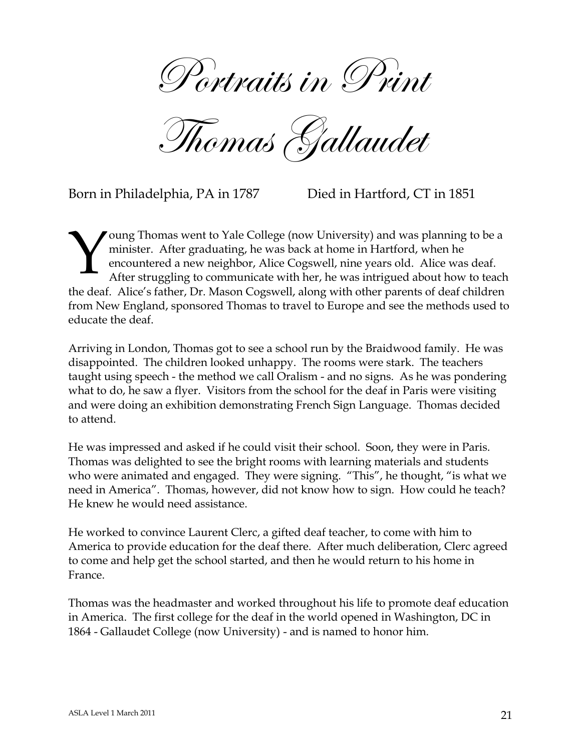Portraits in Print

Thomas Gallaudet

Born in Philadelphia, PA in 1787 Died in Hartford, CT in 1851

oung Thomas went to Yale College (now University) and was planning to be a minister. After graduating, he was back at home in Hartford, when he encountered a new neighbor, Alice Cogswell, nine years old. Alice was deaf. After struggling to communicate with her, he was intrigued about how to teach the deaf. Alice's father, Dr. Mason Cogswell, along with other parents of deaf children from New England, sponsored Thomas to travel to Europe and see the methods used to educate the deaf. Y

Arriving in London, Thomas got to see a school run by the Braidwood family. He was disappointed. The children looked unhappy. The rooms were stark. The teachers taught using speech - the method we call Oralism - and no signs. As he was pondering what to do, he saw a flyer. Visitors from the school for the deaf in Paris were visiting and were doing an exhibition demonstrating French Sign Language. Thomas decided to attend.

He was impressed and asked if he could visit their school. Soon, they were in Paris. Thomas was delighted to see the bright rooms with learning materials and students who were animated and engaged. They were signing. "This", he thought, "is what we need in America". Thomas, however, did not know how to sign. How could he teach? He knew he would need assistance.

He worked to convince Laurent Clerc, a gifted deaf teacher, to come with him to America to provide education for the deaf there. After much deliberation, Clerc agreed to come and help get the school started, and then he would return to his home in France.

Thomas was the headmaster and worked throughout his life to promote deaf education in America. The first college for the deaf in the world opened in Washington, DC in 1864 - Gallaudet College (now University) - and is named to honor him.